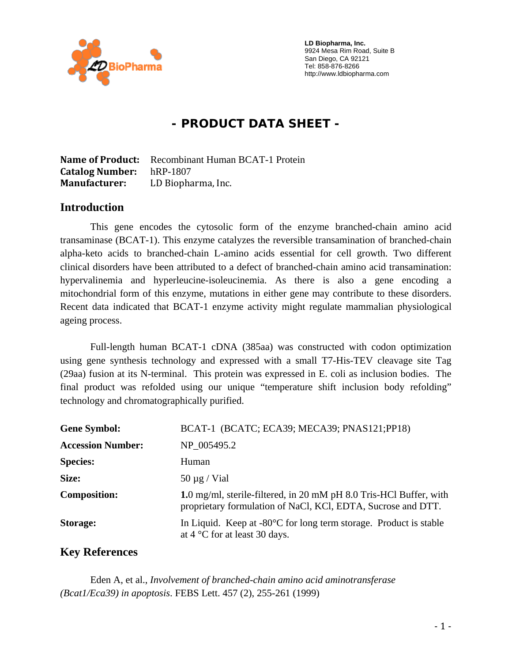

 **LD Biopharma, Inc.**  9924 Mesa Rim Road, Suite B San Diego, CA 92121 Tel: 858-876-8266 http://www.ldbiopharma.com

# **- PRODUCT DATA SHEET -**

**Name of Product:** Recombinant Human BCAT-1 Protein **Catalog Number:** hRP-1807 **Manufacturer:** LD Biopharma, Inc.

#### **Introduction**

This gene encodes the cytosolic form of the enzyme branched-chain amino acid transaminase (BCAT-1). This enzyme catalyzes the reversible transamination of branched-chain alpha-keto acids to branched-chain L-amino acids essential for cell growth. Two different clinical disorders have been attributed to a defect of branched-chain amino acid transamination: hypervalinemia and hyperleucine-isoleucinemia. As there is also a gene encoding a mitochondrial form of this enzyme, mutations in either gene may contribute to these disorders. Recent data indicated that BCAT-1 enzyme activity might regulate mammalian physiological ageing process.

Full-length human BCAT-1 cDNA (385aa) was constructed with codon optimization using gene synthesis technology and expressed with a small T7-His-TEV cleavage site Tag (29aa) fusion at its N-terminal. This protein was expressed in E. coli as inclusion bodies. The final product was refolded using our unique "temperature shift inclusion body refolding" technology and chromatographically purified.

| <b>Gene Symbol:</b>      | BCAT-1 (BCATC; ECA39; MECA39; PNAS121; PP18)                                                                                       |
|--------------------------|------------------------------------------------------------------------------------------------------------------------------------|
| <b>Accession Number:</b> | NP 005495.2                                                                                                                        |
| <b>Species:</b>          | Human                                                                                                                              |
| Size:                    | $50 \mu g$ / Vial                                                                                                                  |
| <b>Composition:</b>      | 1.0 mg/ml, sterile-filtered, in 20 mM pH 8.0 Tris-HCl Buffer, with<br>proprietary formulation of NaCl, KCl, EDTA, Sucrose and DTT. |
| Storage:                 | In Liquid. Keep at $-80^{\circ}$ C for long term storage. Product is stable<br>at $4^{\circ}$ C for at least 30 days.              |

#### **Key References**

 Eden A, et al., *Involvement of branched-chain amino acid aminotransferase (Bcat1/Eca39) in apoptosis*. FEBS Lett. 457 (2), 255-261 (1999)